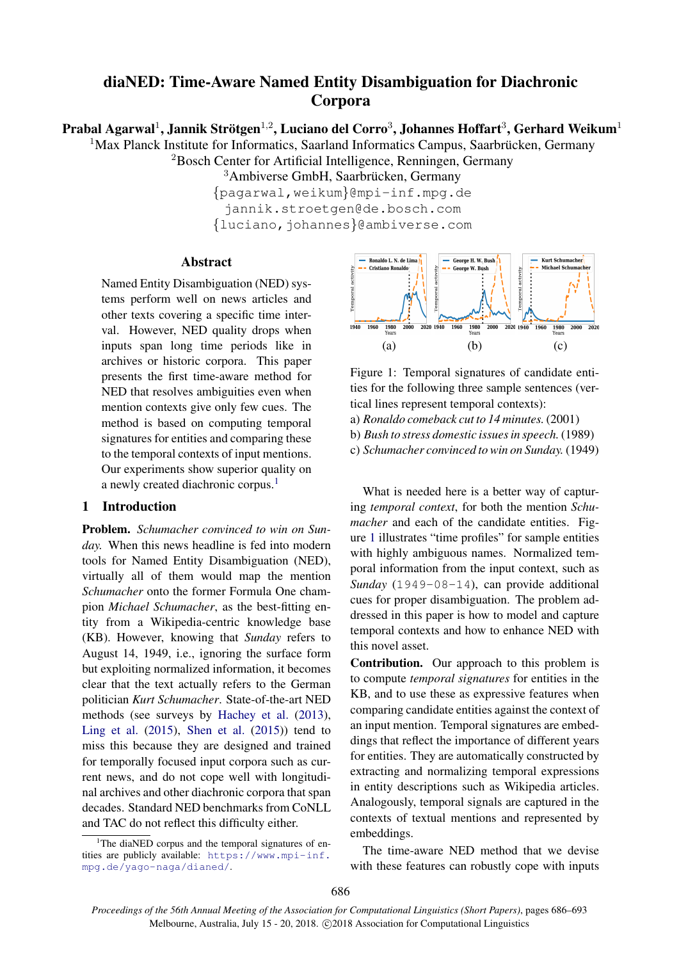# diaNED: Time-Aware Named Entity Disambiguation for Diachronic Corpora

Prabal Agarwal $^1$ , Jannik Strötgen $^{1,2}$ , Luciano del Corro $^3$ , Johannes Hoffart $^3$ , Gerhard Weikum $^1$ 

 $1$ Max Planck Institute for Informatics, Saarland Informatics Campus, Saarbrücken, Germany <sup>2</sup>Bosch Center for Artificial Intelligence, Renningen, Germany

 $3$ Ambiverse GmbH, Saarbrücken, Germany

{pagarwal,weikum}@mpi-inf.mpg.de jannik.stroetgen@de.bosch.com {luciano,johannes}@ambiverse.com

# Abstract

Named Entity Disambiguation (NED) systems perform well on news articles and other texts covering a specific time interval. However, NED quality drops when inputs span long time periods like in archives or historic corpora. This paper presents the first time-aware method for NED that resolves ambiguities even when mention contexts give only few cues. The method is based on computing temporal signatures for entities and comparing these to the temporal contexts of input mentions. Our experiments show superior quality on a newly created diachronic corpus.<sup>[1](#page-0-0)</sup>

# 1 Introduction

Problem. *Schumacher convinced to win on Sunday.* When this news headline is fed into modern tools for Named Entity Disambiguation (NED), virtually all of them would map the mention *Schumacher* onto the former Formula One champion *Michael Schumacher*, as the best-fitting entity from a Wikipedia-centric knowledge base (KB). However, knowing that *Sunday* refers to August 14, 1949, i.e., ignoring the surface form but exploiting normalized information, it becomes clear that the text actually refers to the German politician *Kurt Schumacher*. State-of-the-art NED methods (see surveys by [Hachey et al.](#page-5-0) [\(2013\)](#page-5-0), [Ling et al.](#page-6-0)  $(2015)$ , [Shen et al.](#page-6-1)  $(2015)$  tend to miss this because they are designed and trained for temporally focused input corpora such as current news, and do not cope well with longitudinal archives and other diachronic corpora that span decades. Standard NED benchmarks from CoNLL and TAC do not reflect this difficulty either.



<span id="page-0-1"></span>Figure 1: Temporal signatures of candidate entities for the following three sample sentences (vertical lines represent temporal contexts):

a) *Ronaldo comeback cut to 14 minutes.* (2001) b) *Bush to stress domestic issues in speech.* (1989)

c) *Schumacher convinced to win on Sunday.* (1949)

What is needed here is a better way of capturing *temporal context*, for both the mention *Schumacher* and each of the candidate entities. Figure [1](#page-0-1) illustrates "time profiles" for sample entities with highly ambiguous names. Normalized temporal information from the input context, such as *Sunday* (1949-08-14), can provide additional cues for proper disambiguation. The problem addressed in this paper is how to model and capture temporal contexts and how to enhance NED with this novel asset.

Contribution. Our approach to this problem is to compute *temporal signatures* for entities in the KB, and to use these as expressive features when comparing candidate entities against the context of an input mention. Temporal signatures are embeddings that reflect the importance of different years for entities. They are automatically constructed by extracting and normalizing temporal expressions in entity descriptions such as Wikipedia articles. Analogously, temporal signals are captured in the contexts of textual mentions and represented by embeddings.

The time-aware NED method that we devise with these features can robustly cope with inputs

<span id="page-0-0"></span><sup>&</sup>lt;sup>1</sup>The diaNED corpus and the temporal signatures of entities are publicly available: [https://www.mpi-inf.](https://www.mpi-inf.mpg.de/yago-naga/dianed/) [mpg.de/yago-naga/dianed/](https://www.mpi-inf.mpg.de/yago-naga/dianed/).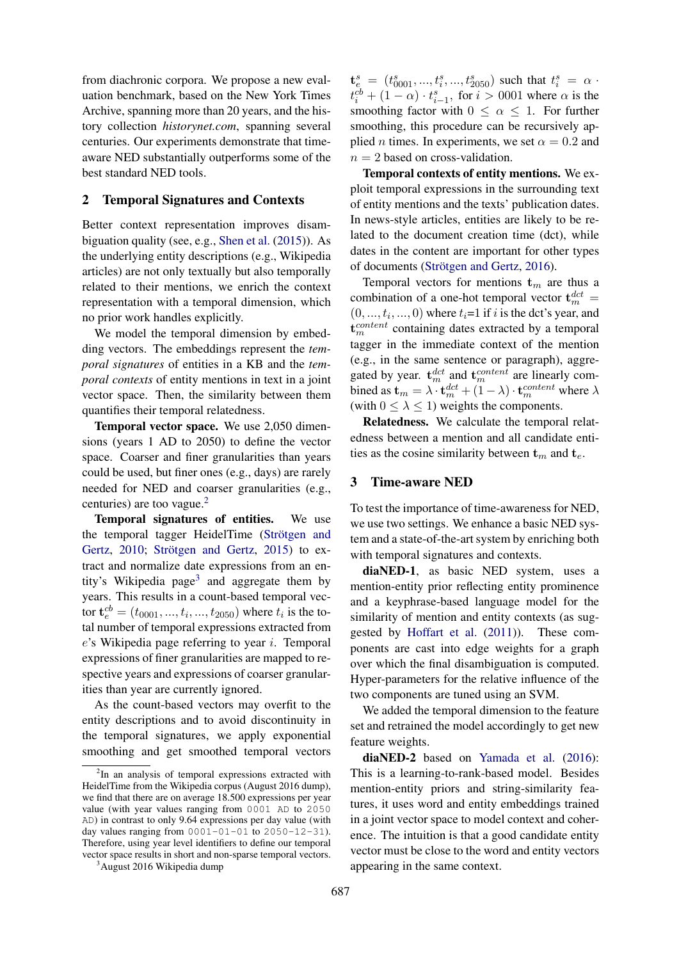from diachronic corpora. We propose a new evaluation benchmark, based on the New York Times Archive, spanning more than 20 years, and the history collection *historynet.com*, spanning several centuries. Our experiments demonstrate that timeaware NED substantially outperforms some of the best standard NED tools.

## 2 Temporal Signatures and Contexts

Better context representation improves disambiguation quality (see, e.g., [Shen et al.](#page-6-1) [\(2015\)](#page-6-1)). As the underlying entity descriptions (e.g., Wikipedia articles) are not only textually but also temporally related to their mentions, we enrich the context representation with a temporal dimension, which no prior work handles explicitly.

We model the temporal dimension by embedding vectors. The embeddings represent the *temporal signatures* of entities in a KB and the *temporal contexts* of entity mentions in text in a joint vector space. Then, the similarity between them quantifies their temporal relatedness.

Temporal vector space. We use 2,050 dimensions (years 1 AD to 2050) to define the vector space. Coarser and finer granularities than years could be used, but finer ones (e.g., days) are rarely needed for NED and coarser granularities (e.g., centuries) are too vague. $<sup>2</sup>$  $<sup>2</sup>$  $<sup>2</sup>$ </sup>

Temporal signatures of entities. We use the temporal tagger HeidelTime (Strötgen and [Gertz,](#page-6-2)  $2010$ ; Strötgen and Gertz,  $2015$ ) to extract and normalize date expressions from an en-tity's Wikipedia page<sup>[3](#page-1-1)</sup> and aggregate them by years. This results in a count-based temporal vector  $\mathbf{t}_{e}^{cb} = (t_{0001}, ..., t_i, ..., t_{2050})$  where  $t_i$  is the total number of temporal expressions extracted from  $e$ 's Wikipedia page referring to year *i*. Temporal expressions of finer granularities are mapped to respective years and expressions of coarser granularities than year are currently ignored.

As the count-based vectors may overfit to the entity descriptions and to avoid discontinuity in the temporal signatures, we apply exponential smoothing and get smoothed temporal vectors

 ${\bf t}_{e}^{s} = (t_{0001}^{s},...,t_{i}^{s},...,t_{2050}^{s})$  such that  $t_{i}^{s} = \alpha$ .  $t_i^{cb} + (1 - \alpha) \cdot t_{i-1}^s$ , for  $i > 0001$  where  $\alpha$  is the smoothing factor with  $0 \leq \alpha \leq 1$ . For further smoothing, this procedure can be recursively applied *n* times. In experiments, we set  $\alpha = 0.2$  and  $n = 2$  based on cross-validation.

Temporal contexts of entity mentions. We exploit temporal expressions in the surrounding text of entity mentions and the texts' publication dates. In news-style articles, entities are likely to be related to the document creation time (dct), while dates in the content are important for other types of documents (Strötgen and Gertz, [2016\)](#page-6-4).

Temporal vectors for mentions  $t_m$  are thus a combination of a one-hot temporal vector  $\mathbf{t}_{m}^{dct} =$  $(0, \ldots, t_i, \ldots, 0)$  where  $t_i = 1$  if i is the dct's year, and  $\mathbf{t}_{m}^{content}$  containing dates extracted by a temporal tagger in the immediate context of the mention (e.g., in the same sentence or paragraph), aggregated by year.  $\mathbf{t}_{m}^{dct}$  and  $\mathbf{t}_{m}^{content}$  are linearly combined as  $\mathbf{t}_m = \lambda \cdot \mathbf{t}_m^{dct} + (1 - \lambda) \cdot \mathbf{t}_m^{content}$  where  $\lambda$ (with  $0 \leq \lambda \leq 1$ ) weights the components.

Relatedness. We calculate the temporal relatedness between a mention and all candidate entities as the cosine similarity between  $t_m$  and  $t_e$ .

#### 3 Time-aware NED

To test the importance of time-awareness for NED, we use two settings. We enhance a basic NED system and a state-of-the-art system by enriching both with temporal signatures and contexts.

diaNED-1, as basic NED system, uses a mention-entity prior reflecting entity prominence and a keyphrase-based language model for the similarity of mention and entity contexts (as suggested by [Hoffart et al.](#page-5-1) [\(2011\)](#page-5-1)). These components are cast into edge weights for a graph over which the final disambiguation is computed. Hyper-parameters for the relative influence of the two components are tuned using an SVM.

We added the temporal dimension to the feature set and retrained the model accordingly to get new feature weights.

diaNED-2 based on [Yamada et al.](#page-7-0) [\(2016\)](#page-7-0): This is a learning-to-rank-based model. Besides mention-entity priors and string-similarity features, it uses word and entity embeddings trained in a joint vector space to model context and coherence. The intuition is that a good candidate entity vector must be close to the word and entity vectors appearing in the same context.

<span id="page-1-0"></span><sup>&</sup>lt;sup>2</sup>In an analysis of temporal expressions extracted with HeidelTime from the Wikipedia corpus (August 2016 dump), we find that there are on average 18.500 expressions per year value (with year values ranging from 0001 AD to 2050 AD) in contrast to only 9.64 expressions per day value (with day values ranging from  $0001-01-01$  to  $2050-12-31$ ). Therefore, using year level identifiers to define our temporal vector space results in short and non-sparse temporal vectors.

<span id="page-1-1"></span><sup>&</sup>lt;sup>3</sup>August 2016 Wikipedia dump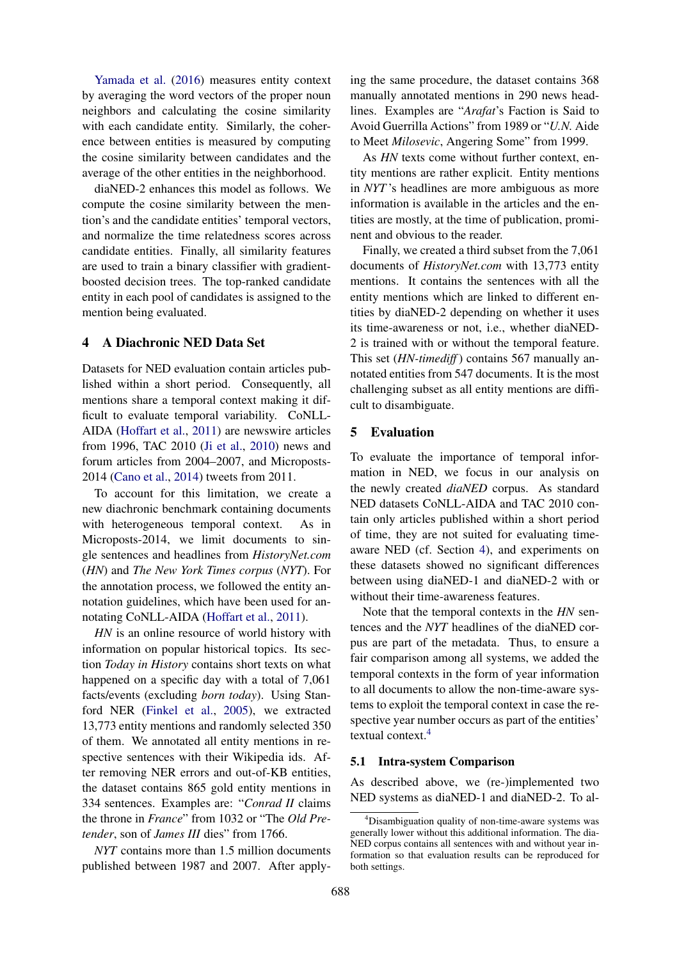[Yamada et al.](#page-7-0) [\(2016\)](#page-7-0) measures entity context by averaging the word vectors of the proper noun neighbors and calculating the cosine similarity with each candidate entity. Similarly, the coherence between entities is measured by computing the cosine similarity between candidates and the average of the other entities in the neighborhood.

diaNED-2 enhances this model as follows. We compute the cosine similarity between the mention's and the candidate entities' temporal vectors, and normalize the time relatedness scores across candidate entities. Finally, all similarity features are used to train a binary classifier with gradientboosted decision trees. The top-ranked candidate entity in each pool of candidates is assigned to the mention being evaluated.

# <span id="page-2-0"></span>4 A Diachronic NED Data Set

Datasets for NED evaluation contain articles published within a short period. Consequently, all mentions share a temporal context making it difficult to evaluate temporal variability. CoNLL-AIDA [\(Hoffart et al.,](#page-5-1) [2011\)](#page-5-1) are newswire articles from 1996, TAC 2010 [\(Ji et al.,](#page-5-2) [2010\)](#page-5-2) news and forum articles from 2004–2007, and Microposts-2014 [\(Cano et al.,](#page-4-0) [2014\)](#page-4-0) tweets from 2011.

To account for this limitation, we create a new diachronic benchmark containing documents with heterogeneous temporal context. As in Microposts-2014, we limit documents to single sentences and headlines from *HistoryNet.com* (*HN*) and *The New York Times corpus* (*NYT*). For the annotation process, we followed the entity annotation guidelines, which have been used for annotating CoNLL-AIDA [\(Hoffart et al.,](#page-5-1) [2011\)](#page-5-1).

*HN* is an online resource of world history with information on popular historical topics. Its section *Today in History* contains short texts on what happened on a specific day with a total of 7,061 facts/events (excluding *born today*). Using Stanford NER [\(Finkel et al.,](#page-5-3) [2005\)](#page-5-3), we extracted 13,773 entity mentions and randomly selected 350 of them. We annotated all entity mentions in respective sentences with their Wikipedia ids. After removing NER errors and out-of-KB entities, the dataset contains 865 gold entity mentions in 334 sentences. Examples are: "*Conrad II* claims the throne in *France*" from 1032 or "The *Old Pretender*, son of *James III* dies" from 1766.

*NYT* contains more than 1.5 million documents published between 1987 and 2007. After apply-

ing the same procedure, the dataset contains 368 manually annotated mentions in 290 news headlines. Examples are "*Arafat*'s Faction is Said to Avoid Guerrilla Actions" from 1989 or "*U.N.* Aide to Meet *Milosevic*, Angering Some" from 1999.

As *HN* texts come without further context, entity mentions are rather explicit. Entity mentions in *NYT* 's headlines are more ambiguous as more information is available in the articles and the entities are mostly, at the time of publication, prominent and obvious to the reader.

Finally, we created a third subset from the 7,061 documents of *HistoryNet.com* with 13,773 entity mentions. It contains the sentences with all the entity mentions which are linked to different entities by diaNED-2 depending on whether it uses its time-awareness or not, i.e., whether diaNED-2 is trained with or without the temporal feature. This set (*HN-timediff* ) contains 567 manually annotated entities from 547 documents. It is the most challenging subset as all entity mentions are difficult to disambiguate.

# 5 Evaluation

To evaluate the importance of temporal information in NED, we focus in our analysis on the newly created *diaNED* corpus. As standard NED datasets CoNLL-AIDA and TAC 2010 contain only articles published within a short period of time, they are not suited for evaluating timeaware NED (cf. Section [4\)](#page-2-0), and experiments on these datasets showed no significant differences between using diaNED-1 and diaNED-2 with or without their time-awareness features.

Note that the temporal contexts in the *HN* sentences and the *NYT* headlines of the diaNED corpus are part of the metadata. Thus, to ensure a fair comparison among all systems, we added the temporal contexts in the form of year information to all documents to allow the non-time-aware systems to exploit the temporal context in case the respective year number occurs as part of the entities' textual context.<sup>[4](#page-2-1)</sup>

#### 5.1 Intra-system Comparison

As described above, we (re-)implemented two NED systems as diaNED-1 and diaNED-2. To al-

<span id="page-2-1"></span><sup>&</sup>lt;sup>4</sup>Disambiguation quality of non-time-aware systems was generally lower without this additional information. The dia-NED corpus contains all sentences with and without year information so that evaluation results can be reproduced for both settings.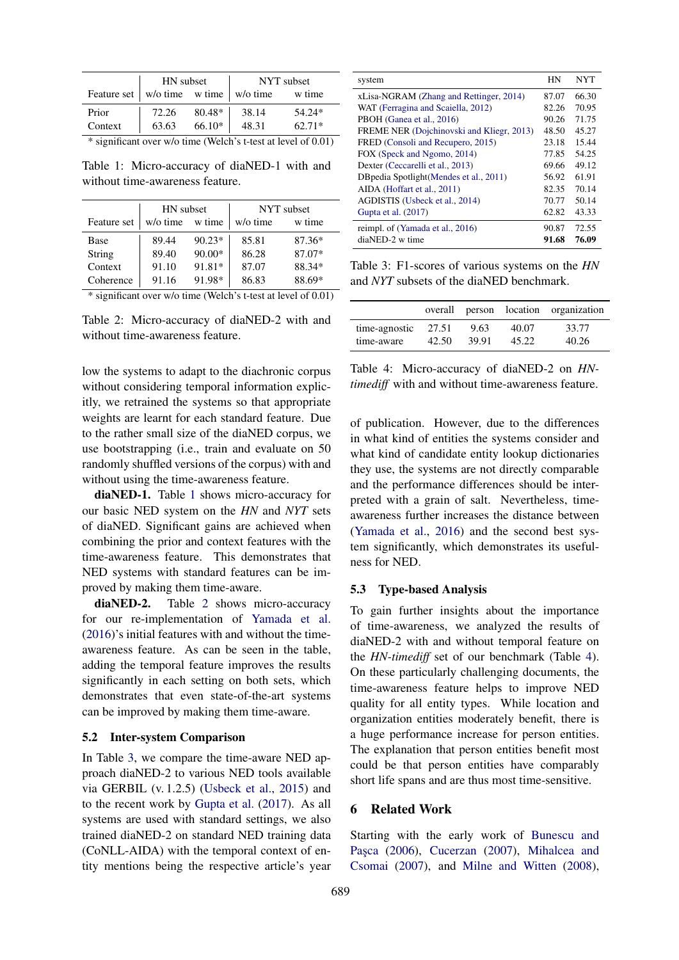|                                              | HN subset |        | NYT subset |          |
|----------------------------------------------|-----------|--------|------------|----------|
| Feature set   w/o time   w/o time   w/o time |           |        |            | w time   |
| Prior                                        | 72.26     | 80.48* | 38.14      | 54.24*   |
| Context                                      | 63.63     | 66.10* | 48.31      | $62.71*$ |

<span id="page-3-0"></span>\* significant over w/o time (Welch's t-test at level of 0.01)

Table 1: Micro-accuracy of diaNED-1 with and without time-awareness feature.

|             | HN subset |          | NYT subset |        |
|-------------|-----------|----------|------------|--------|
| Feature set | w/o time  | w time   | w/o time   | w time |
| Base        | 89.44     | $90.23*$ | 85.81      | 87.36* |
| String      | 89.40     | 90.00*   | 86.28      | 87.07* |
| Context     | 91.10     | 91.81*   | 87.07      | 88.34* |
| Coherence   | 91.16     | 91.98*   | 86.83      | 88.69* |

\* significant over w/o time (Welch's t-test at level of 0.01)

<span id="page-3-1"></span>Table 2: Micro-accuracy of diaNED-2 with and without time-awareness feature.

low the systems to adapt to the diachronic corpus without considering temporal information explicitly, we retrained the systems so that appropriate weights are learnt for each standard feature. Due to the rather small size of the diaNED corpus, we use bootstrapping (i.e., train and evaluate on 50 randomly shuffled versions of the corpus) with and without using the time-awareness feature.

diaNED-1. Table [1](#page-3-0) shows micro-accuracy for our basic NED system on the *HN* and *NYT* sets of diaNED. Significant gains are achieved when combining the prior and context features with the time-awareness feature. This demonstrates that NED systems with standard features can be improved by making them time-aware.

diaNED-2. Table [2](#page-3-1) shows micro-accuracy for our re-implementation of [Yamada et al.](#page-7-0) [\(2016\)](#page-7-0)'s initial features with and without the timeawareness feature. As can be seen in the table, adding the temporal feature improves the results significantly in each setting on both sets, which demonstrates that even state-of-the-art systems can be improved by making them time-aware.

#### 5.2 Inter-system Comparison

In Table [3,](#page-3-2) we compare the time-aware NED approach diaNED-2 to various NED tools available via GERBIL (v. 1.2.5) [\(Usbeck et al.,](#page-6-5) [2015\)](#page-6-5) and to the recent work by [Gupta et al.](#page-5-4) [\(2017\)](#page-5-4). As all systems are used with standard settings, we also trained diaNED-2 on standard NED training data (CoNLL-AIDA) with the temporal context of entity mentions being the respective article's year

| system                                    | <b>HN</b> | <b>NYT</b> |
|-------------------------------------------|-----------|------------|
| xLisa-NGRAM (Zhang and Rettinger, 2014)   |           | 66.30      |
| WAT (Ferragina and Scaiella, 2012)        |           | 70.95      |
| PBOH (Ganea et al., 2016)                 |           | 71.75      |
| FREME NER (Dojchinovski and Kliegr, 2013) |           | 45.27      |
| FRED (Consoli and Recupero, 2015)         |           | 15.44      |
| FOX (Speck and Ngomo, 2014)               |           | 54.25      |
| Dexter (Ceccarelli et al., 2013)          |           | 49.12      |
| DB pedia Spotlight (Mendes et al., 2011)  |           | 61.91      |
| AIDA (Hoffart et al., 2011)               |           | 70.14      |
| AGDISTIS (Usbeck et al., 2014)            |           | 50.14      |
| Gupta et al. (2017)                       | 62.82     | 43.33      |
| reimpl. of (Yamada et al., 2016)          | 90.87     | 72.55      |
| diaNED-2 w time                           |           | 76.09      |

<span id="page-3-2"></span>Table 3: F1-scores of various systems on the *HN* and *NYT* subsets of the diaNED benchmark.

|               |       |       |       | overall person location organization |
|---------------|-------|-------|-------|--------------------------------------|
| time-agnostic | 27.51 | 9.63  | 40.07 | 33.77                                |
| time-aware    | 42.50 | 39.91 | 45.22 | 40.26                                |

<span id="page-3-3"></span>Table 4: Micro-accuracy of diaNED-2 on *HNtimediff* with and without time-awareness feature.

of publication. However, due to the differences in what kind of entities the systems consider and what kind of candidate entity lookup dictionaries they use, the systems are not directly comparable and the performance differences should be interpreted with a grain of salt. Nevertheless, timeawareness further increases the distance between [\(Yamada et al.,](#page-7-0) [2016\)](#page-7-0) and the second best system significantly, which demonstrates its usefulness for NED.

#### 5.3 Type-based Analysis

To gain further insights about the importance of time-awareness, we analyzed the results of diaNED-2 with and without temporal feature on the *HN-timediff* set of our benchmark (Table [4\)](#page-3-3). On these particularly challenging documents, the time-awareness feature helps to improve NED quality for all entity types. While location and organization entities moderately benefit, there is a huge performance increase for person entities. The explanation that person entities benefit most could be that person entities have comparably short life spans and are thus most time-sensitive.

#### 6 Related Work

Starting with the early work of [Bunescu and](#page-4-2) Paşca [\(2006\)](#page-4-2), [Cucerzan](#page-5-9) [\(2007\)](#page-5-9), [Mihalcea and](#page-6-9) [Csomai](#page-6-9) [\(2007\)](#page-6-9), and [Milne and Witten](#page-6-10) [\(2008\)](#page-6-10),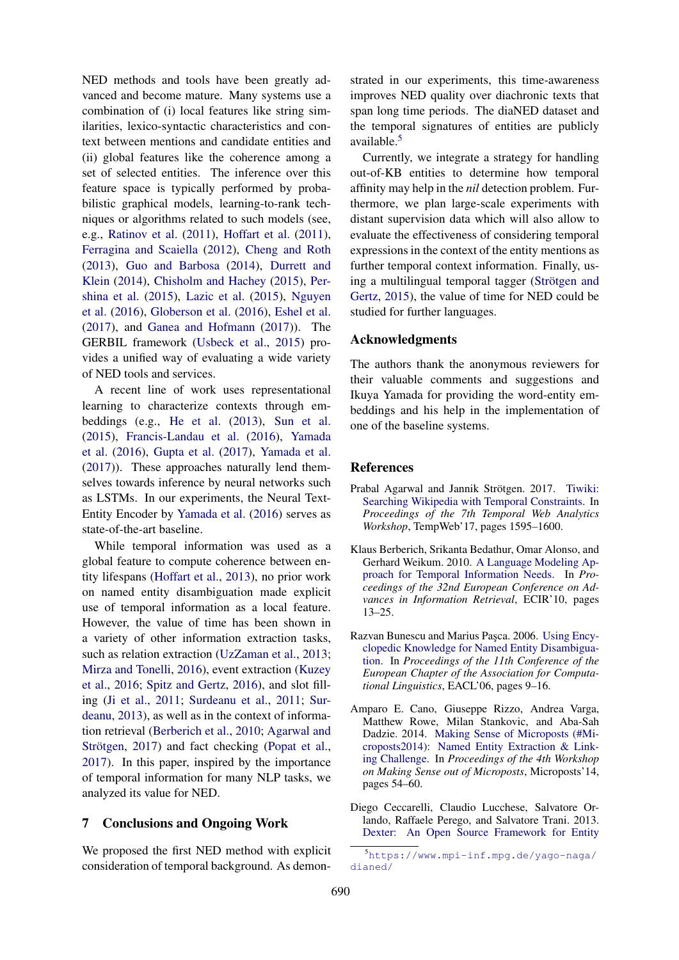NED methods and tools have been greatly advanced and become mature. Many systems use a combination of (i) local features like string similarities, lexico-syntactic characteristics and context between mentions and candidate entities and (ii) global features like the coherence among a set of selected entities. The inference over this feature space is typically performed by probabilistic graphical models, learning-to-rank techniques or algorithms related to such models (see, e.g., [Ratinov et al.](#page-6-11) [\(2011\)](#page-6-11), [Hoffart et al.](#page-5-1) [\(2011\)](#page-5-1), [Ferragina and Scaiella](#page-5-5) [\(2012\)](#page-5-5), [Cheng and Roth](#page-5-10) [\(2013\)](#page-5-10), [Guo and Barbosa](#page-5-11) [\(2014\)](#page-5-11), [Durrett and](#page-5-12) [Klein](#page-5-12) [\(2014\)](#page-5-12), [Chisholm and Hachey](#page-5-13) [\(2015\)](#page-5-13), [Per](#page-6-12)[shina et al.](#page-6-12) [\(2015\)](#page-6-12), [Lazic et al.](#page-6-13) [\(2015\)](#page-6-13), [Nguyen](#page-6-14) [et al.](#page-6-14) [\(2016\)](#page-6-14), [Globerson et al.](#page-5-14) [\(2016\)](#page-5-14), [Eshel et al.](#page-5-15) [\(2017\)](#page-5-15), and [Ganea and Hofmann](#page-5-16) [\(2017\)](#page-5-16)). The GERBIL framework [\(Usbeck et al.,](#page-6-5) [2015\)](#page-6-5) provides a unified way of evaluating a wide variety of NED tools and services.

A recent line of work uses representational learning to characterize contexts through embeddings (e.g., [He et al.](#page-5-17) [\(2013\)](#page-5-17), [Sun et al.](#page-6-15) [\(2015\)](#page-6-15), [Francis-Landau et al.](#page-5-18) [\(2016\)](#page-5-18), [Yamada](#page-7-0) [et al.](#page-7-0) [\(2016\)](#page-7-0), [Gupta et al.](#page-5-4) [\(2017\)](#page-5-4), [Yamada et al.](#page-7-2) [\(2017\)](#page-7-2)). These approaches naturally lend themselves towards inference by neural networks such as LSTMs. In our experiments, the Neural Text-Entity Encoder by [Yamada et al.](#page-7-0) [\(2016\)](#page-7-0) serves as state-of-the-art baseline.

While temporal information was used as a global feature to compute coherence between entity lifespans [\(Hoffart et al.,](#page-5-19) [2013\)](#page-5-19), no prior work on named entity disambiguation made explicit use of temporal information as a local feature. However, the value of time has been shown in a variety of other information extraction tasks, such as relation extraction [\(UzZaman et al.,](#page-7-3) [2013;](#page-7-3) [Mirza and Tonelli,](#page-6-16) [2016\)](#page-6-16), event extraction [\(Kuzey](#page-6-17) [et al.,](#page-6-17) [2016;](#page-6-17) [Spitz and Gertz,](#page-6-18) [2016\)](#page-6-18), and slot filling [\(Ji et al.,](#page-5-20) [2011;](#page-5-20) [Surdeanu et al.,](#page-6-19) [2011;](#page-6-19) [Sur](#page-6-20)[deanu,](#page-6-20) [2013\)](#page-6-20), as well as in the context of information retrieval [\(Berberich et al.,](#page-4-3) [2010;](#page-4-3) [Agarwal and](#page-4-4) Strötgen, [2017\)](#page-4-4) and fact checking [\(Popat et al.,](#page-6-21) [2017\)](#page-6-21). In this paper, inspired by the importance of temporal information for many NLP tasks, we analyzed its value for NED.

## 7 Conclusions and Ongoing Work

We proposed the first NED method with explicit consideration of temporal background. As demon-

strated in our experiments, this time-awareness improves NED quality over diachronic texts that span long time periods. The diaNED dataset and the temporal signatures of entities are publicly available.<sup>[5](#page-4-5)</sup>

Currently, we integrate a strategy for handling out-of-KB entities to determine how temporal affinity may help in the *nil* detection problem. Furthermore, we plan large-scale experiments with distant supervision data which will also allow to evaluate the effectiveness of considering temporal expressions in the context of the entity mentions as further temporal context information. Finally, using a multilingual temporal tagger (Strötgen and [Gertz,](#page-6-3) [2015\)](#page-6-3), the value of time for NED could be studied for further languages.

## Acknowledgments

The authors thank the anonymous reviewers for their valuable comments and suggestions and Ikuya Yamada for providing the word-entity embeddings and his help in the implementation of one of the baseline systems.

## **References**

- <span id="page-4-4"></span>Prabal Agarwal and Jannik Strötgen. 2017. [Tiwiki:](https://doi.org/10.1145/3041021.3051112) [Searching Wikipedia with Temporal Constraints.](https://doi.org/10.1145/3041021.3051112) In *Proceedings of the 7th Temporal Web Analytics Workshop*, TempWeb'17, pages 1595–1600.
- <span id="page-4-3"></span>Klaus Berberich, Srikanta Bedathur, Omar Alonso, and Gerhard Weikum. 2010. [A Language Modeling Ap](https://doi.org/10.1007/978-3-642-12275-0_5)[proach for Temporal Information Needs.](https://doi.org/10.1007/978-3-642-12275-0_5) In *Proceedings of the 32nd European Conference on Advances in Information Retrieval*, ECIR'10, pages 13–25.
- <span id="page-4-2"></span>Razvan Bunescu and Marius Pasca. 2006. [Using Ency](http://www.aclweb.org/anthology/E06-1002)[clopedic Knowledge for Named Entity Disambigua](http://www.aclweb.org/anthology/E06-1002)[tion.](http://www.aclweb.org/anthology/E06-1002) In *Proceedings of the 11th Conference of the European Chapter of the Association for Computational Linguistics*, EACL'06, pages 9–16.
- <span id="page-4-0"></span>Amparo E. Cano, Giuseppe Rizzo, Andrea Varga, Matthew Rowe, Milan Stankovic, and Aba-Sah Dadzie. 2014. [Making Sense of Microposts \(#Mi](http://ceur-ws.org/Vol-1141/microposts2014_neel-challenge-report.pdf)[croposts2014\): Named Entity Extraction & Link](http://ceur-ws.org/Vol-1141/microposts2014_neel-challenge-report.pdf)[ing Challenge.](http://ceur-ws.org/Vol-1141/microposts2014_neel-challenge-report.pdf) In *Proceedings of the 4th Workshop on Making Sense out of Microposts*, Microposts'14, pages 54–60.
- <span id="page-4-1"></span>Diego Ceccarelli, Claudio Lucchese, Salvatore Orlando, Raffaele Perego, and Salvatore Trani. 2013. [Dexter: An Open Source Framework for Entity](https://doi.org/10.1145/2513204.2513212)

<span id="page-4-5"></span><sup>5</sup>[https://www.mpi-inf.mpg.de/yago-naga/](https://doi.org/10.1145/2513204.2513212) [dianed/](https://doi.org/10.1145/2513204.2513212)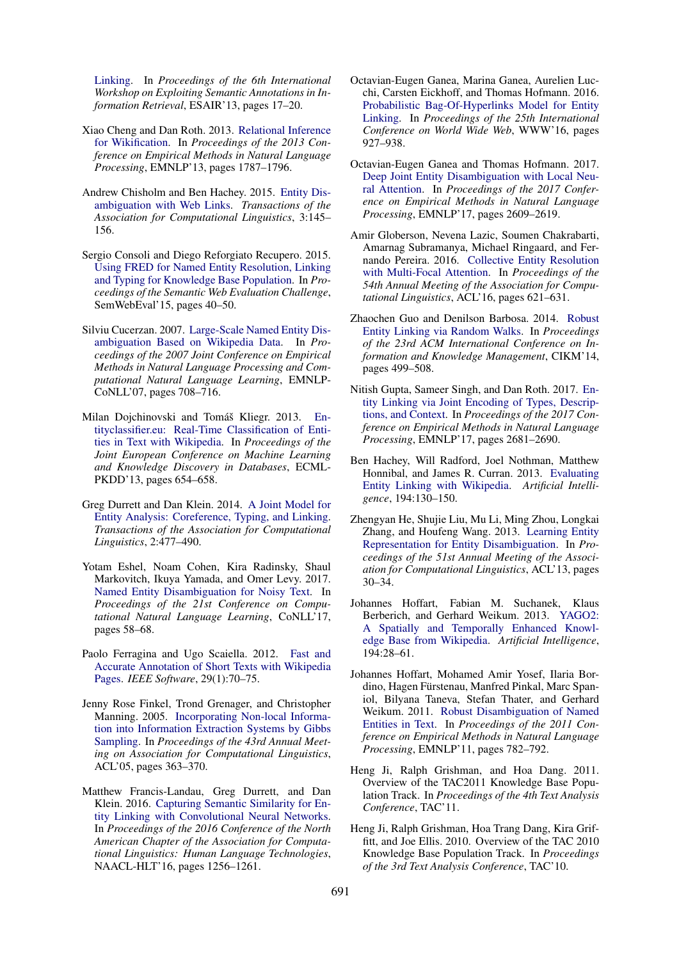[Linking.](https://doi.org/10.1145/2513204.2513212) In *Proceedings of the 6th International Workshop on Exploiting Semantic Annotations in Information Retrieval*, ESAIR'13, pages 17–20.

- <span id="page-5-10"></span>Xiao Cheng and Dan Roth. 2013. [Relational Inference](http://www.aclweb.org/anthology/D13-1184) [for Wikification.](http://www.aclweb.org/anthology/D13-1184) In *Proceedings of the 2013 Conference on Empirical Methods in Natural Language Processing*, EMNLP'13, pages 1787–1796.
- <span id="page-5-13"></span>Andrew Chisholm and Ben Hachey. 2015. [Entity Dis](http://aclweb.org/anthology/Q/Q15/Q15-1011.pdf)[ambiguation with Web Links.](http://aclweb.org/anthology/Q/Q15/Q15-1011.pdf) *Transactions of the Association for Computational Linguistics*, 3:145– 156.
- <span id="page-5-8"></span>Sergio Consoli and Diego Reforgiato Recupero. 2015. [Using FRED for Named Entity Resolution, Linking](http://doi.org/10.1007/978-3-319-25518-7_4) [and Typing for Knowledge Base Population.](http://doi.org/10.1007/978-3-319-25518-7_4) In *Proceedings of the Semantic Web Evaluation Challenge*, SemWebEval'15, pages 40–50.
- <span id="page-5-9"></span>Silviu Cucerzan. 2007. [Large-Scale Named Entity Dis](https://aclanthology.info/papers/D07-1074/d07-1074)[ambiguation Based on Wikipedia Data.](https://aclanthology.info/papers/D07-1074/d07-1074) In *Proceedings of the 2007 Joint Conference on Empirical Methods in Natural Language Processing and Computational Natural Language Learning*, EMNLP-CoNLL'07, pages 708–716.
- <span id="page-5-7"></span>Milan Dojchinovski and Tomáš Kliegr. 2013. [En](https://doi.org/10.1007/978-3-642-40994-3_48)[tityclassifier.eu: Real-Time Classification of Enti](https://doi.org/10.1007/978-3-642-40994-3_48)[ties in Text with Wikipedia.](https://doi.org/10.1007/978-3-642-40994-3_48) In *Proceedings of the Joint European Conference on Machine Learning and Knowledge Discovery in Databases*, ECML-PKDD'13, pages 654–658.
- <span id="page-5-12"></span>Greg Durrett and Dan Klein. 2014. [A Joint Model for](http://aclweb.org/anthology/Q/Q14/Q14-1037.pdf) [Entity Analysis: Coreference, Typing, and Linking.](http://aclweb.org/anthology/Q/Q14/Q14-1037.pdf) *Transactions of the Association for Computational Linguistics*, 2:477–490.
- <span id="page-5-15"></span>Yotam Eshel, Noam Cohen, Kira Radinsky, Shaul Markovitch, Ikuya Yamada, and Omer Levy. 2017. [Named Entity Disambiguation for Noisy Text.](http://aclweb.org/anthology/K17-1008) In *Proceedings of the 21st Conference on Computational Natural Language Learning*, CoNLL'17, pages 58–68.
- <span id="page-5-5"></span>Paolo Ferragina and Ugo Scaiella. 2012. [Fast and](http://dx.doi.org/10.1109/MS.2011.122) [Accurate Annotation of Short Texts with Wikipedia](http://dx.doi.org/10.1109/MS.2011.122) [Pages.](http://dx.doi.org/10.1109/MS.2011.122) *IEEE Software*, 29(1):70–75.
- <span id="page-5-3"></span>Jenny Rose Finkel, Trond Grenager, and Christopher Manning. 2005. [Incorporating Non-local Informa](https://doi.org/10.3115/1219840.1219885)[tion into Information Extraction Systems by Gibbs](https://doi.org/10.3115/1219840.1219885) [Sampling.](https://doi.org/10.3115/1219840.1219885) In *Proceedings of the 43rd Annual Meeting on Association for Computational Linguistics*, ACL'05, pages 363–370.
- <span id="page-5-18"></span>Matthew Francis-Landau, Greg Durrett, and Dan Klein. 2016. [Capturing Semantic Similarity for En](http://www.aclweb.org/anthology/N16-1150)[tity Linking with Convolutional Neural Networks.](http://www.aclweb.org/anthology/N16-1150) In *Proceedings of the 2016 Conference of the North American Chapter of the Association for Computational Linguistics: Human Language Technologies*, NAACL-HLT'16, pages 1256–1261.
- <span id="page-5-6"></span>Octavian-Eugen Ganea, Marina Ganea, Aurelien Lucchi, Carsten Eickhoff, and Thomas Hofmann. 2016. [Probabilistic Bag-Of-Hyperlinks Model for Entity](https://doi.org/10.1145/2872427.2882988) [Linking.](https://doi.org/10.1145/2872427.2882988) In *Proceedings of the 25th International Conference on World Wide Web*, WWW'16, pages 927–938.
- <span id="page-5-16"></span>Octavian-Eugen Ganea and Thomas Hofmann. 2017. [Deep Joint Entity Disambiguation with Local Neu](https://www.aclweb.org/anthology/D17-1277)[ral Attention.](https://www.aclweb.org/anthology/D17-1277) In *Proceedings of the 2017 Conference on Empirical Methods in Natural Language Processing*, EMNLP'17, pages 2609–2619.
- <span id="page-5-14"></span>Amir Globerson, Nevena Lazic, Soumen Chakrabarti, Amarnag Subramanya, Michael Ringaard, and Fernando Pereira. 2016. [Collective Entity Resolution](http://www.aclweb.org/anthology/P16-1059) [with Multi-Focal Attention.](http://www.aclweb.org/anthology/P16-1059) In *Proceedings of the 54th Annual Meeting of the Association for Computational Linguistics*, ACL'16, pages 621–631.
- <span id="page-5-11"></span>Zhaochen Guo and Denilson Barbosa. 2014. [Robust](http://doi.acm.org/10.1145/2661829.2661887) [Entity Linking via Random Walks.](http://doi.acm.org/10.1145/2661829.2661887) In *Proceedings of the 23rd ACM International Conference on Information and Knowledge Management*, CIKM'14, pages 499–508.
- <span id="page-5-4"></span>Nitish Gupta, Sameer Singh, and Dan Roth. 2017. [En](https://www.aclweb.org/anthology/D17-1284)[tity Linking via Joint Encoding of Types, Descrip](https://www.aclweb.org/anthology/D17-1284)[tions, and Context.](https://www.aclweb.org/anthology/D17-1284) In *Proceedings of the 2017 Conference on Empirical Methods in Natural Language Processing*, EMNLP'17, pages 2681–2690.
- <span id="page-5-0"></span>Ben Hachey, Will Radford, Joel Nothman, Matthew Honnibal, and James R. Curran. 2013. [Evaluating](http://dx.doi.org/10.1016/j.artint.2012.04.005) [Entity Linking with Wikipedia.](http://dx.doi.org/10.1016/j.artint.2012.04.005) *Artificial Intelligence*, 194:130–150.
- <span id="page-5-17"></span>Zhengyan He, Shujie Liu, Mu Li, Ming Zhou, Longkai Zhang, and Houfeng Wang. 2013. [Learning Entity](http://www.aclweb.org/anthology/P13-2006) [Representation for Entity Disambiguation.](http://www.aclweb.org/anthology/P13-2006) In *Proceedings of the 51st Annual Meeting of the Association for Computational Linguistics*, ACL'13, pages 30–34.
- <span id="page-5-19"></span>Johannes Hoffart, Fabian M. Suchanek, Klaus Berberich, and Gerhard Weikum. 2013. [YAGO2:](https://doi.org/10.1016/j.artint.2012.06.001) [A Spatially and Temporally Enhanced Knowl](https://doi.org/10.1016/j.artint.2012.06.001)[edge Base from Wikipedia.](https://doi.org/10.1016/j.artint.2012.06.001) *Artificial Intelligence*, 194:28–61.
- <span id="page-5-1"></span>Johannes Hoffart, Mohamed Amir Yosef, Ilaria Bordino, Hagen Fürstenau, Manfred Pinkal, Marc Spaniol, Bilyana Taneva, Stefan Thater, and Gerhard Weikum. 2011. [Robust Disambiguation of Named](http://www.aclweb.org/anthology/D11-1072) [Entities in Text.](http://www.aclweb.org/anthology/D11-1072) In *Proceedings of the 2011 Conference on Empirical Methods in Natural Language Processing*, EMNLP'11, pages 782–792.
- <span id="page-5-20"></span>Heng Ji, Ralph Grishman, and Hoa Dang. 2011. Overview of the TAC2011 Knowledge Base Population Track. In *Proceedings of the 4th Text Analysis Conference*, TAC'11.
- <span id="page-5-2"></span>Heng Ji, Ralph Grishman, Hoa Trang Dang, Kira Griffitt, and Joe Ellis. 2010. Overview of the TAC 2010 Knowledge Base Population Track. In *Proceedings of the 3rd Text Analysis Conference*, TAC'10.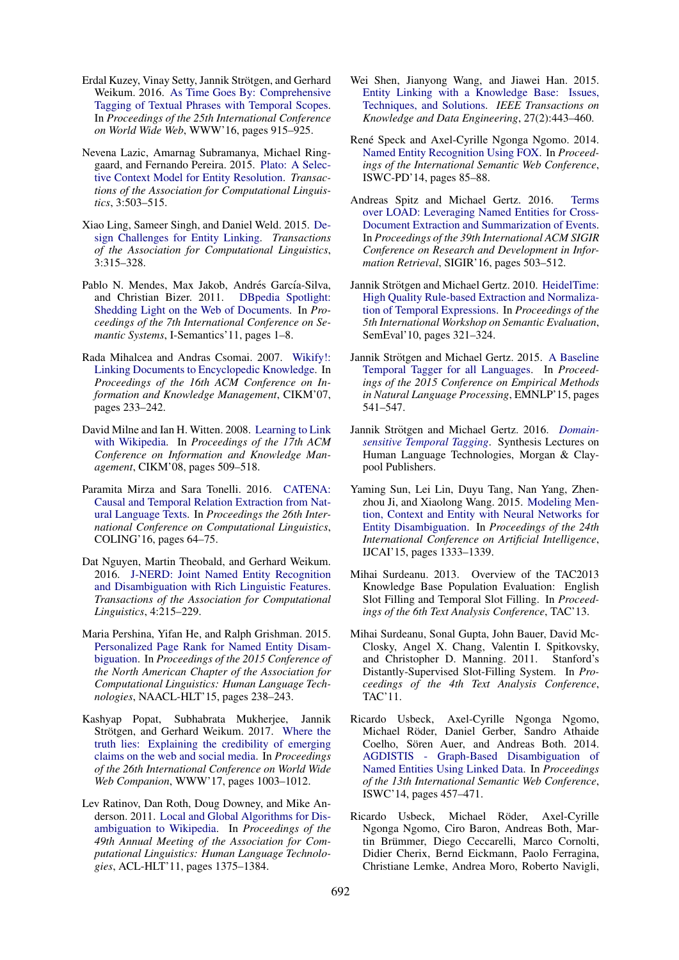- <span id="page-6-17"></span>Erdal Kuzey, Vinay Setty, Jannik Strötgen, and Gerhard Weikum. 2016. [As Time Goes By: Comprehensive](https://doi.org/10.1145/2872427.2883055) [Tagging of Textual Phrases with Temporal Scopes.](https://doi.org/10.1145/2872427.2883055) In *Proceedings of the 25th International Conference on World Wide Web*, WWW'16, pages 915–925.
- <span id="page-6-13"></span>Nevena Lazic, Amarnag Subramanya, Michael Ringgaard, and Fernando Pereira. 2015. [Plato: A Selec](http://aclweb.org/anthology/Q/Q15/Q15-1036.pdf)[tive Context Model for Entity Resolution.](http://aclweb.org/anthology/Q/Q15/Q15-1036.pdf) *Transactions of the Association for Computational Linguistics*, 3:503–515.
- <span id="page-6-0"></span>Xiao Ling, Sameer Singh, and Daniel Weld. 2015. [De](http://aclweb.org/anthology/Q/Q15/Q15-1023.pdf)[sign Challenges for Entity Linking.](http://aclweb.org/anthology/Q/Q15/Q15-1023.pdf) *Transactions of the Association for Computational Linguistics*, 3:315–328.
- <span id="page-6-7"></span>Pablo N. Mendes, Max Jakob, Andrés García-Silva, and Christian Bizer. 2011. [DBpedia Spotlight:](http://doi.acm.org/10.1145/2063518.2063519) [Shedding Light on the Web of Documents.](http://doi.acm.org/10.1145/2063518.2063519) In *Proceedings of the 7th International Conference on Semantic Systems*, I-Semantics'11, pages 1–8.
- <span id="page-6-9"></span>Rada Mihalcea and Andras Csomai. 2007. [Wikify!:](http://doi.acm.org/10.1145/1321440.1321475) [Linking Documents to Encyclopedic Knowledge.](http://doi.acm.org/10.1145/1321440.1321475) In *Proceedings of the 16th ACM Conference on Information and Knowledge Management*, CIKM'07, pages 233–242.
- <span id="page-6-10"></span>David Milne and Ian H. Witten. 2008. [Learning to Link](http://doi.acm.org/10.1145/1458082.1458150) [with Wikipedia.](http://doi.acm.org/10.1145/1458082.1458150) In *Proceedings of the 17th ACM Conference on Information and Knowledge Management*, CIKM'08, pages 509–518.
- <span id="page-6-16"></span>Paramita Mirza and Sara Tonelli. 2016. [CATENA:](http://www.aclweb.org/anthology/C16-1007) [Causal and Temporal Relation Extraction from Nat](http://www.aclweb.org/anthology/C16-1007)[ural Language Texts.](http://www.aclweb.org/anthology/C16-1007) In *Proceedings the 26th International Conference on Computational Linguistics*, COLING'16, pages 64–75.
- <span id="page-6-14"></span>Dat Nguyen, Martin Theobald, and Gerhard Weikum. 2016. [J-NERD: Joint Named Entity Recognition](http://aclweb.org/anthology/Q/Q16/Q16-1016.pdf) [and Disambiguation with Rich Linguistic Features.](http://aclweb.org/anthology/Q/Q16/Q16-1016.pdf) *Transactions of the Association for Computational Linguistics*, 4:215–229.
- <span id="page-6-12"></span>Maria Pershina, Yifan He, and Ralph Grishman. 2015. [Personalized Page Rank for Named Entity Disam](http://www.aclweb.org/anthology/N15-1026)[biguation.](http://www.aclweb.org/anthology/N15-1026) In *Proceedings of the 2015 Conference of the North American Chapter of the Association for Computational Linguistics: Human Language Technologies*, NAACL-HLT'15, pages 238–243.
- <span id="page-6-21"></span>Kashyap Popat, Subhabrata Mukherjee, Jannik Strötgen, and Gerhard Weikum. 2017. [Where the](https://doi.org/10.1145/3041021.3055133) [truth lies: Explaining the credibility of emerging](https://doi.org/10.1145/3041021.3055133) [claims on the web and social media.](https://doi.org/10.1145/3041021.3055133) In *Proceedings of the 26th International Conference on World Wide Web Companion*, WWW'17, pages 1003–1012.
- <span id="page-6-11"></span>Lev Ratinov, Dan Roth, Doug Downey, and Mike Anderson. 2011. [Local and Global Algorithms for Dis](http://www.aclweb.org/anthology/P11-1138)[ambiguation to Wikipedia.](http://www.aclweb.org/anthology/P11-1138) In *Proceedings of the 49th Annual Meeting of the Association for Computational Linguistics: Human Language Technologies*, ACL-HLT'11, pages 1375–1384.
- <span id="page-6-1"></span>Wei Shen, Jianyong Wang, and Jiawei Han. 2015. [Entity Linking with a Knowledge Base: Issues,](https://doi.org/10.1109/TKDE.2014.2327028) [Techniques, and Solutions.](https://doi.org/10.1109/TKDE.2014.2327028) *IEEE Transactions on Knowledge and Data Engineering*, 27(2):443–460.
- <span id="page-6-6"></span>René Speck and Axel-Cyrille Ngonga Ngomo. 2014. [Named Entity Recognition Using FOX.](http://dl.acm.org/citation.cfm?id=2878453.2878475) In *Proceedings of the International Semantic Web Conference*, ISWC-PD'14, pages 85–88.
- <span id="page-6-18"></span>Andreas Spitz and Michael Gertz. 2016. [Terms](https://doi.org/10.1145/2911451.2911529) [over LOAD: Leveraging Named Entities for Cross-](https://doi.org/10.1145/2911451.2911529)[Document Extraction and Summarization of Events.](https://doi.org/10.1145/2911451.2911529) In *Proceedings of the 39th International ACM SIGIR Conference on Research and Development in Information Retrieval*, SIGIR'16, pages 503–512.
- <span id="page-6-2"></span>Jannik Strötgen and Michael Gertz. 2010. [HeidelTime:](http://dl.acm.org/citation.cfm?id=1859664.1859735) [High Quality Rule-based Extraction and Normaliza](http://dl.acm.org/citation.cfm?id=1859664.1859735)[tion of Temporal Expressions.](http://dl.acm.org/citation.cfm?id=1859664.1859735) In *Proceedings of the 5th International Workshop on Semantic Evaluation*, SemEval'10, pages 321–324.
- <span id="page-6-3"></span>Jannik Strötgen and Michael Gertz. 2015. [A Baseline](http://aclweb.org/anthology/D15-1063) [Temporal Tagger for all Languages.](http://aclweb.org/anthology/D15-1063) In *Proceedings of the 2015 Conference on Empirical Methods in Natural Language Processing*, EMNLP'15, pages 541–547.
- <span id="page-6-4"></span>Jannik Strötgen and Michael Gertz. 2016. *[Domain](https://doi.org/https://doi.org/10.2200/S00721ED1V01Y201606HLT036)[sensitive Temporal Tagging](https://doi.org/https://doi.org/10.2200/S00721ED1V01Y201606HLT036)*. Synthesis Lectures on Human Language Technologies, Morgan & Claypool Publishers.
- <span id="page-6-15"></span>Yaming Sun, Lei Lin, Duyu Tang, Nan Yang, Zhenzhou Ji, and Xiaolong Wang. 2015. [Modeling Men](http://dl.acm.org/citation.cfm?id=2832415.2832435)[tion, Context and Entity with Neural Networks for](http://dl.acm.org/citation.cfm?id=2832415.2832435) [Entity Disambiguation.](http://dl.acm.org/citation.cfm?id=2832415.2832435) In *Proceedings of the 24th International Conference on Artificial Intelligence*, IJCAI'15, pages 1333–1339.
- <span id="page-6-20"></span>Mihai Surdeanu. 2013. Overview of the TAC2013 Knowledge Base Population Evaluation: English Slot Filling and Temporal Slot Filling. In *Proceedings of the 6th Text Analysis Conference*, TAC'13.
- <span id="page-6-19"></span>Mihai Surdeanu, Sonal Gupta, John Bauer, David Mc-Closky, Angel X. Chang, Valentin I. Spitkovsky, and Christopher D. Manning. 2011. Stanford's Distantly-Supervised Slot-Filling System. In *Proceedings of the 4th Text Analysis Conference*, TAC'11.
- <span id="page-6-8"></span>Ricardo Usbeck, Axel-Cyrille Ngonga Ngomo, Michael Röder, Daniel Gerber, Sandro Athaide Coelho, Sören Auer, and Andreas Both. 2014. [AGDISTIS - Graph-Based Disambiguation of](http://dx.doi.org/10.1007/978-3-319-11964-9_29) [Named Entities Using Linked Data.](http://dx.doi.org/10.1007/978-3-319-11964-9_29) In *Proceedings of the 13th International Semantic Web Conference*, ISWC'14, pages 457–471.
- <span id="page-6-5"></span>Ricardo Usbeck, Michael Röder, Axel-Cyrille Ngonga Ngomo, Ciro Baron, Andreas Both, Martin Brümmer, Diego Ceccarelli, Marco Cornolti, Didier Cherix, Bernd Eickmann, Paolo Ferragina, Christiane Lemke, Andrea Moro, Roberto Navigli,